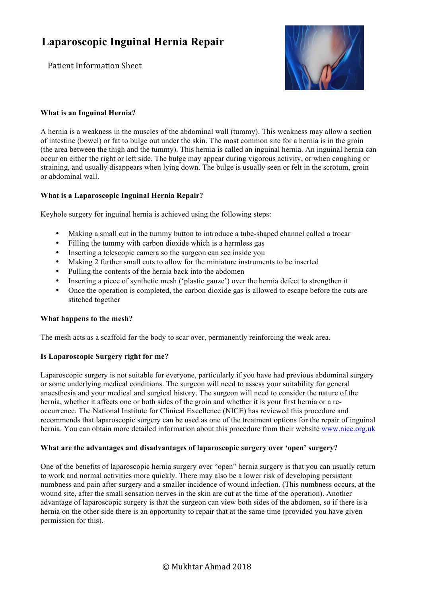Patient Information Sheet



### **What is an Inguinal Hernia?**

A hernia is a weakness in the muscles of the abdominal wall (tummy). This weakness may allow a section of intestine (bowel) or fat to bulge out under the skin. The most common site for a hernia is in the groin (the area between the thigh and the tummy). This hernia is called an inguinal hernia. An inguinal hernia can occur on either the right or left side. The bulge may appear during vigorous activity, or when coughing or straining, and usually disappears when lying down. The bulge is usually seen or felt in the scrotum, groin or abdominal wall.

## **What is a Laparoscopic Inguinal Hernia Repair?**

Keyhole surgery for inguinal hernia is achieved using the following steps:

- Making a small cut in the tummy button to introduce a tube-shaped channel called a trocar
- Filling the tummy with carbon dioxide which is a harmless gas
- Inserting a telescopic camera so the surgeon can see inside you
- Making 2 further small cuts to allow for the miniature instruments to be inserted
- Pulling the contents of the hernia back into the abdomen
- Inserting a piece of synthetic mesh ('plastic gauze') over the hernia defect to strengthen it
- Once the operation is completed, the carbon dioxide gas is allowed to escape before the cuts are stitched together

#### **What happens to the mesh?**

The mesh acts as a scaffold for the body to scar over, permanently reinforcing the weak area.

#### **Is Laparoscopic Surgery right for me?**

Laparoscopic surgery is not suitable for everyone, particularly if you have had previous abdominal surgery or some underlying medical conditions. The surgeon will need to assess your suitability for general anaesthesia and your medical and surgical history. The surgeon will need to consider the nature of the hernia, whether it affects one or both sides of the groin and whether it is your first hernia or a reoccurrence. The National Institute for Clinical Excellence (NICE) has reviewed this procedure and recommends that laparoscopic surgery can be used as one of the treatment options for the repair of inguinal hernia. You can obtain more detailed information about this procedure from their website www.nice.org.uk

#### **What are the advantages and disadvantages of laparoscopic surgery over 'open' surgery?**

One of the benefits of laparoscopic hernia surgery over "open" hernia surgery is that you can usually return to work and normal activities more quickly. There may also be a lower risk of developing persistent numbness and pain after surgery and a smaller incidence of wound infection. (This numbness occurs, at the wound site, after the small sensation nerves in the skin are cut at the time of the operation). Another advantage of laparoscopic surgery is that the surgeon can view both sides of the abdomen, so if there is a hernia on the other side there is an opportunity to repair that at the same time (provided you have given permission for this).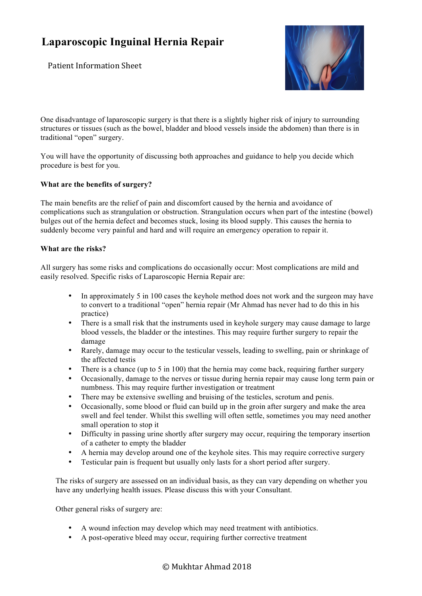Patient Information Sheet



One disadvantage of laparoscopic surgery is that there is a slightly higher risk of injury to surrounding structures or tissues (such as the bowel, bladder and blood vessels inside the abdomen) than there is in traditional "open" surgery.

You will have the opportunity of discussing both approaches and guidance to help you decide which procedure is best for you.

### **What are the benefits of surgery?**

The main benefits are the relief of pain and discomfort caused by the hernia and avoidance of complications such as strangulation or obstruction. Strangulation occurs when part of the intestine (bowel) bulges out of the hernia defect and becomes stuck, losing its blood supply. This causes the hernia to suddenly become very painful and hard and will require an emergency operation to repair it.

#### **What are the risks?**

All surgery has some risks and complications do occasionally occur: Most complications are mild and easily resolved. Specific risks of Laparoscopic Hernia Repair are:

- In approximately 5 in 100 cases the keyhole method does not work and the surgeon may have to convert to a traditional "open" hernia repair (Mr Ahmad has never had to do this in his practice)
- There is a small risk that the instruments used in keyhole surgery may cause damage to large blood vessels, the bladder or the intestines. This may require further surgery to repair the damage
- Rarely, damage may occur to the testicular vessels, leading to swelling, pain or shrinkage of the affected testis
- There is a chance (up to 5 in 100) that the hernia may come back, requiring further surgery
- Occasionally, damage to the nerves or tissue during hernia repair may cause long term pain or numbness. This may require further investigation or treatment
- There may be extensive swelling and bruising of the testicles, scrotum and penis.
- Occasionally, some blood or fluid can build up in the groin after surgery and make the area swell and feel tender. Whilst this swelling will often settle, sometimes you may need another small operation to stop it
- Difficulty in passing urine shortly after surgery may occur, requiring the temporary insertion of a catheter to empty the bladder
- A hernia may develop around one of the keyhole sites. This may require corrective surgery
- Testicular pain is frequent but usually only lasts for a short period after surgery.

The risks of surgery are assessed on an individual basis, as they can vary depending on whether you have any underlying health issues. Please discuss this with your Consultant.

Other general risks of surgery are:

- A wound infection may develop which may need treatment with antibiotics.
- A post-operative bleed may occur, requiring further corrective treatment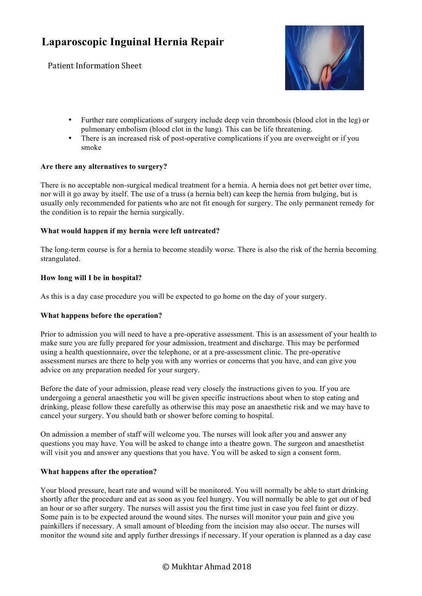Patient Information Sheet



- Further rare complications of surgery include deep vein thrombosis (blood clot in the leg) or pulmonary embolism (blood clot in the lung). This can be life threatening.
- There is an increased risk of post-operative complications if you are overweight or if you smoke

#### **Are there any alternatives to surgery?**

There is no acceptable non-surgical medical treatment for a hernia. A hernia does not get better over time, nor will it go away by itself. The use of a truss (a hernia belt) can keep the hernia from bulging, but is usually only recommended for patients who are not fit enough for surgery. The only permanent remedy for the condition is to repair the hernia surgically.

### **What would happen if my hernia were left untreated?**

The long-term course is for a hernia to become steadily worse. There is also the risk of the hernia becoming strangulated.

### **How long will I be in hospital?**

As this is a day case procedure you will be expected to go home on the day of your surgery.

#### **What happens before the operation?**

Prior to admission you will need to have a pre-operative assessment. This is an assessment of your health to make sure you are fully prepared for your admission, treatment and discharge. This may be performed using a health questionnaire, over the telephone, or at a pre-assessment clinic. The pre-operative assessment nurses are there to help you with any worries or concerns that you have, and can give you advice on any preparation needed for your surgery.

Before the date of your admission, please read very closely the instructions given to you. If you are undergoing a general anaesthetic you will be given specific instructions about when to stop eating and drinking, please follow these carefully as otherwise this may pose an anaesthetic risk and we may have to cancel your surgery. You should bath or shower before coming to hospital.

On admission a member of staff will welcome you. The nurses will look after you and answer any questions you may have. You will be asked to change into a theatre gown. The surgeon and anaesthetist will visit you and answer any questions that you have. You will be asked to sign a consent form.

#### **What happens after the operation?**

Your blood pressure, heart rate and wound will be monitored. You will normally be able to start drinking shortly after the procedure and eat as soon as you feel hungry. You will normally be able to get out of bed an hour or so after surgery. The nurses will assist you the first time just in case you feel faint or dizzy. Some pain is to be expected around the wound sites. The nurses will monitor your pain and give you painkillers if necessary. A small amount of bleeding from the incision may also occur. The nurses will monitor the wound site and apply further dressings if necessary. If your operation is planned as a day case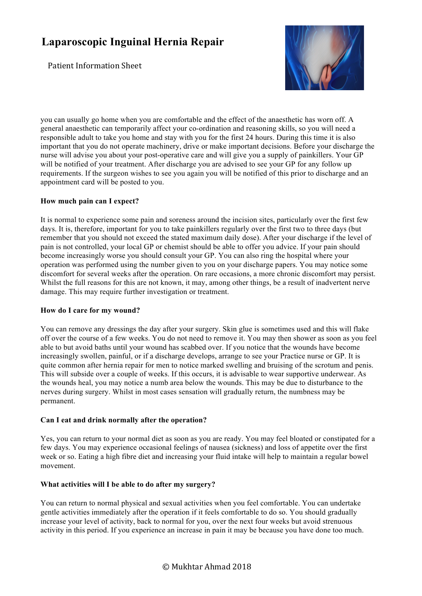Patient Information Sheet



you can usually go home when you are comfortable and the effect of the anaesthetic has worn off. A general anaesthetic can temporarily affect your co-ordination and reasoning skills, so you will need a responsible adult to take you home and stay with you for the first 24 hours. During this time it is also important that you do not operate machinery, drive or make important decisions. Before your discharge the nurse will advise you about your post-operative care and will give you a supply of painkillers. Your GP will be notified of your treatment. After discharge you are advised to see your GP for any follow up requirements. If the surgeon wishes to see you again you will be notified of this prior to discharge and an appointment card will be posted to you.

## **How much pain can I expect?**

It is normal to experience some pain and soreness around the incision sites, particularly over the first few days. It is, therefore, important for you to take painkillers regularly over the first two to three days (but remember that you should not exceed the stated maximum daily dose). After your discharge if the level of pain is not controlled, your local GP or chemist should be able to offer you advice. If your pain should become increasingly worse you should consult your GP. You can also ring the hospital where your operation was performed using the number given to you on your discharge papers. You may notice some discomfort for several weeks after the operation. On rare occasions, a more chronic discomfort may persist. Whilst the full reasons for this are not known, it may, among other things, be a result of inadvertent nerve damage. This may require further investigation or treatment.

#### **How do I care for my wound?**

You can remove any dressings the day after your surgery. Skin glue is sometimes used and this will flake off over the course of a few weeks. You do not need to remove it. You may then shower as soon as you feel able to but avoid baths until your wound has scabbed over. If you notice that the wounds have become increasingly swollen, painful, or if a discharge develops, arrange to see your Practice nurse or GP. It is quite common after hernia repair for men to notice marked swelling and bruising of the scrotum and penis. This will subside over a couple of weeks. If this occurs, it is advisable to wear supportive underwear. As the wounds heal, you may notice a numb area below the wounds. This may be due to disturbance to the nerves during surgery. Whilst in most cases sensation will gradually return, the numbness may be permanent.

## **Can I eat and drink normally after the operation?**

Yes, you can return to your normal diet as soon as you are ready. You may feel bloated or constipated for a few days. You may experience occasional feelings of nausea (sickness) and loss of appetite over the first week or so. Eating a high fibre diet and increasing your fluid intake will help to maintain a regular bowel movement.

## **What activities will I be able to do after my surgery?**

You can return to normal physical and sexual activities when you feel comfortable. You can undertake gentle activities immediately after the operation if it feels comfortable to do so. You should gradually increase your level of activity, back to normal for you, over the next four weeks but avoid strenuous activity in this period. If you experience an increase in pain it may be because you have done too much.